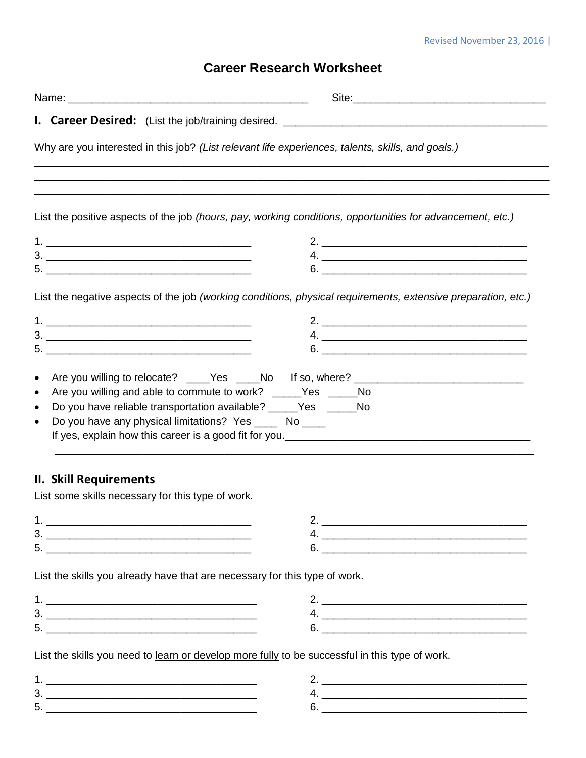## Revised November 23, 2016 |

## **Career Research Worksheet**

|                                                                                            | Why are you interested in this job? (List relevant life experiences, talents, skills, and goals.)             |
|--------------------------------------------------------------------------------------------|---------------------------------------------------------------------------------------------------------------|
|                                                                                            |                                                                                                               |
|                                                                                            | List the positive aspects of the job (hours, pay, working conditions, opportunities for advancement, etc.)    |
|                                                                                            |                                                                                                               |
|                                                                                            |                                                                                                               |
|                                                                                            |                                                                                                               |
|                                                                                            | List the negative aspects of the job (working conditions, physical requirements, extensive preparation, etc.) |
|                                                                                            |                                                                                                               |
|                                                                                            |                                                                                                               |
|                                                                                            |                                                                                                               |
| Do you have any physical limitations? Yes ______ No _____<br><b>II. Skill Requirements</b> |                                                                                                               |
| List some skills necessary for this type of work.                                          |                                                                                                               |
|                                                                                            |                                                                                                               |
|                                                                                            |                                                                                                               |
|                                                                                            |                                                                                                               |
| List the skills you already have that are necessary for this type of work.                 |                                                                                                               |
|                                                                                            |                                                                                                               |
|                                                                                            |                                                                                                               |
|                                                                                            |                                                                                                               |
|                                                                                            | List the skills you need to learn or develop more fully to be successful in this type of work.                |
|                                                                                            |                                                                                                               |
|                                                                                            |                                                                                                               |
|                                                                                            |                                                                                                               |